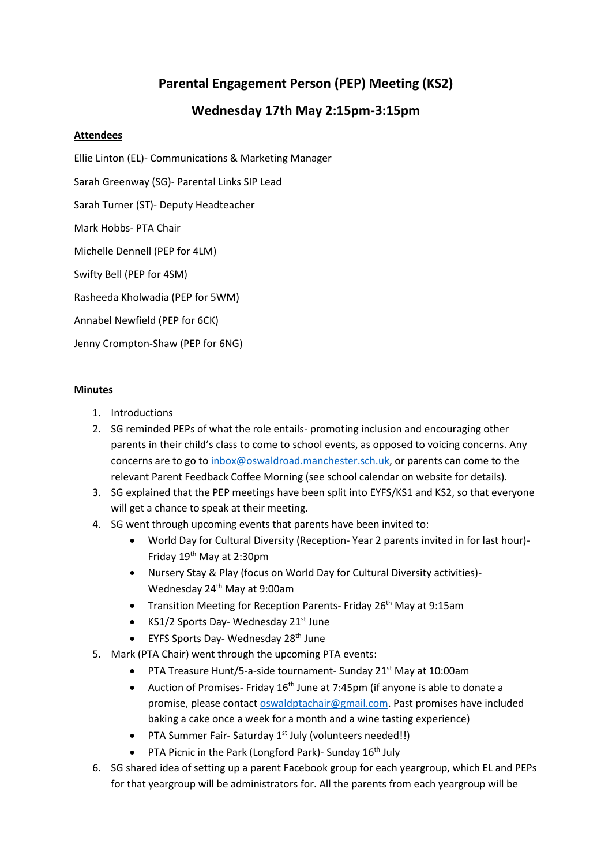## **Parental Engagement Person (PEP) Meeting (KS2)**

## **Wednesday 17th May 2:15pm-3:15pm**

## **Attendees**

Ellie Linton (EL)- Communications & Marketing Manager

Sarah Greenway (SG)- Parental Links SIP Lead

Sarah Turner (ST)- Deputy Headteacher

Mark Hobbs- PTA Chair

Michelle Dennell (PEP for 4LM)

Swifty Bell (PEP for 4SM)

Rasheeda Kholwadia (PEP for 5WM)

Annabel Newfield (PEP for 6CK)

Jenny Crompton-Shaw (PEP for 6NG)

## **Minutes**

- 1. Introductions
- 2. SG reminded PEPs of what the role entails- promoting inclusion and encouraging other parents in their child's class to come to school events, as opposed to voicing concerns. Any concerns are to go to [inbox@oswaldroad.manchester.sch.uk,](mailto:inbox@oswaldroad.manchester.sch.uk) or parents can come to the relevant Parent Feedback Coffee Morning (see school calendar on website for details).
- 3. SG explained that the PEP meetings have been split into EYFS/KS1 and KS2, so that everyone will get a chance to speak at their meeting.
- 4. SG went through upcoming events that parents have been invited to:
	- World Day for Cultural Diversity (Reception- Year 2 parents invited in for last hour)- Friday 19th May at 2:30pm
	- Nursery Stay & Play (focus on World Day for Cultural Diversity activities)- Wednesday 24th May at 9:00am
	- Transition Meeting for Reception Parents- Friday 26<sup>th</sup> May at 9:15am
	- KS1/2 Sports Day- Wednesday  $21^{st}$  June
	- EYFS Sports Day- Wednesday 28<sup>th</sup> June
- 5. Mark (PTA Chair) went through the upcoming PTA events:
	- PTA Treasure Hunt/5-a-side tournament- Sunday 21<sup>st</sup> May at 10:00am
	- Auction of Promises- Friday  $16<sup>th</sup>$  June at 7:45pm (if anyone is able to donate a promise, please contact [oswaldptachair@gmail.com.](mailto:oswaldptachair@gmail.com) Past promises have included baking a cake once a week for a month and a wine tasting experience)
	- PTA Summer Fair- Saturday 1<sup>st</sup> July (volunteers needed!!)
	- PTA Picnic in the Park (Longford Park) Sunday  $16<sup>th</sup>$  July
- 6. SG shared idea of setting up a parent Facebook group for each yeargroup, which EL and PEPs for that yeargroup will be administrators for. All the parents from each yeargroup will be